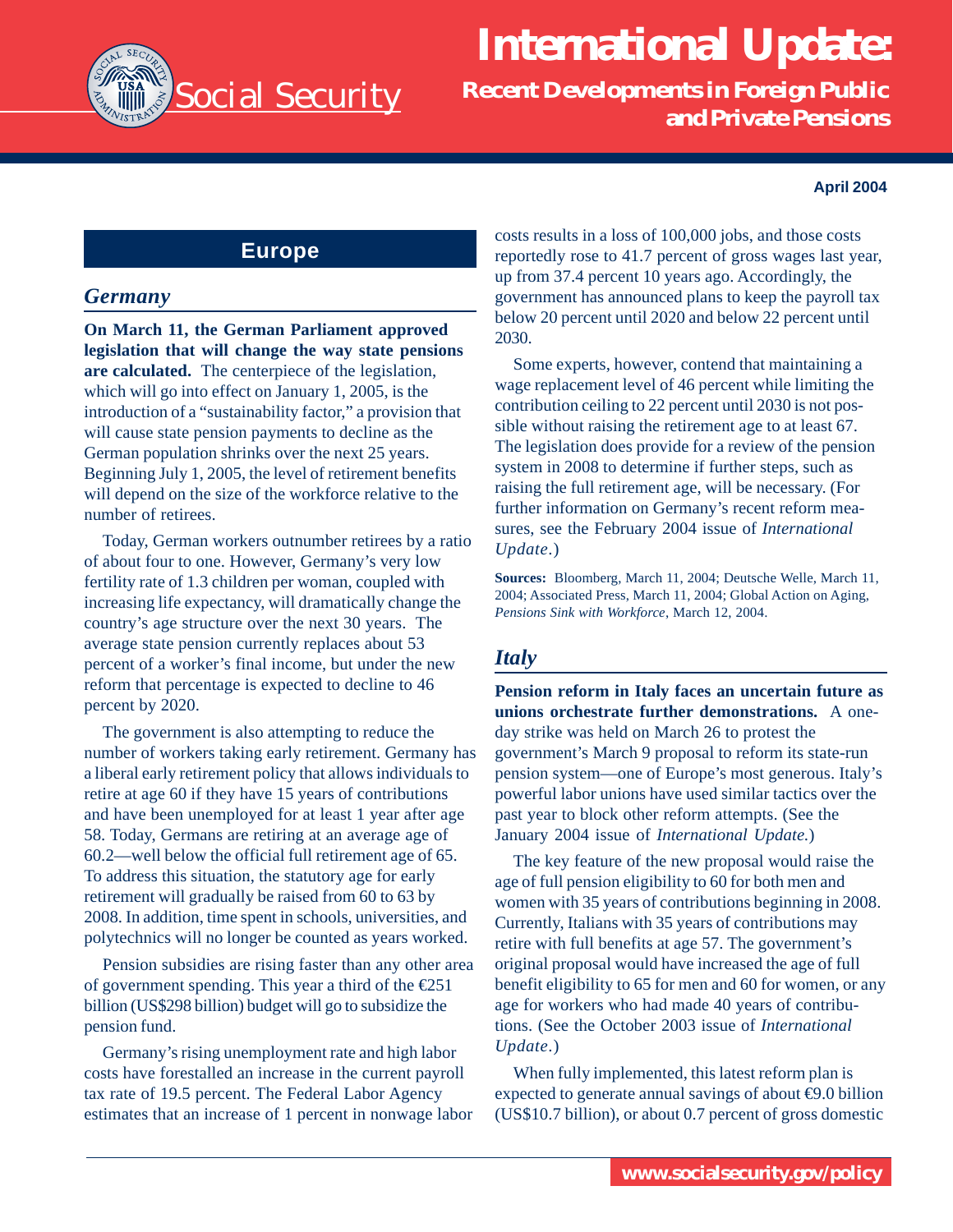

# **International Update:**

**Recent Developments in Foreign Public and Private Pensions**

#### **April 2004**

# **Europe**

#### *Germany*

**On March 11, the German Parliament approved legislation that will change the way state pensions are calculated.** The centerpiece of the legislation, which will go into effect on January 1, 2005, is the introduction of a "sustainability factor," a provision that will cause state pension payments to decline as the German population shrinks over the next 25 years. Beginning July 1, 2005, the level of retirement benefits will depend on the size of the workforce relative to the number of retirees.

Today, German workers outnumber retirees by a ratio of about four to one. However, Germany's very low fertility rate of 1.3 children per woman, coupled with increasing life expectancy, will dramatically change the country's age structure over the next 30 years. The average state pension currently replaces about 53 percent of a worker's final income, but under the new reform that percentage is expected to decline to 46 percent by 2020.

The government is also attempting to reduce the number of workers taking early retirement. Germany has a liberal early retirement policy that allows individuals to retire at age 60 if they have 15 years of contributions and have been unemployed for at least 1 year after age 58. Today, Germans are retiring at an average age of 60.2—well below the official full retirement age of 65. To address this situation, the statutory age for early retirement will gradually be raised from 60 to 63 by 2008. In addition, time spent in schools, universities, and polytechnics will no longer be counted as years worked.

Pension subsidies are rising faster than any other area of government spending. This year a third of the  $\epsilon$ 251 billion (US\$298 billion) budget will go to subsidize the pension fund.

Germany's rising unemployment rate and high labor costs have forestalled an increase in the current payroll tax rate of 19.5 percent. The Federal Labor Agency estimates that an increase of 1 percent in nonwage labor costs results in a loss of 100,000 jobs, and those costs reportedly rose to 41.7 percent of gross wages last year, up from 37.4 percent 10 years ago. Accordingly, the government has announced plans to keep the payroll tax below 20 percent until 2020 and below 22 percent until 2030.

Some experts, however, contend that maintaining a wage replacement level of 46 percent while limiting the contribution ceiling to 22 percent until 2030 is not possible without raising the retirement age to at least 67. The legislation does provide for a review of the pension system in 2008 to determine if further steps, such as raising the full retirement age, will be necessary. (For further information on Germany's recent reform measures, see the February 2004 issue of *International Update*.)

**Sources:** Bloomberg, March 11, 2004; Deutsche Welle, March 11, 2004; Associated Press, March 11, 2004; Global Action on Aging, *Pensions Sink with Workforce*, March 12, 2004.

# *Italy*

**Pension reform in Italy faces an uncertain future as unions orchestrate further demonstrations.** A oneday strike was held on March 26 to protest the government's March 9 proposal to reform its state-run pension system—one of Europe's most generous. Italy's powerful labor unions have used similar tactics over the past year to block other reform attempts. (See the January 2004 issue of *International Update.*)

The key feature of the new proposal would raise the age of full pension eligibility to 60 for both men and women with 35 years of contributions beginning in 2008. Currently, Italians with 35 years of contributions may retire with full benefits at age 57. The government's original proposal would have increased the age of full benefit eligibility to 65 for men and 60 for women, or any age for workers who had made 40 years of contributions. (See the October 2003 issue of *International Update*.)

When fully implemented, this latest reform plan is expected to generate annual savings of about  $\Theta$ . 0 billion (US\$10.7 billion), or about 0.7 percent of gross domestic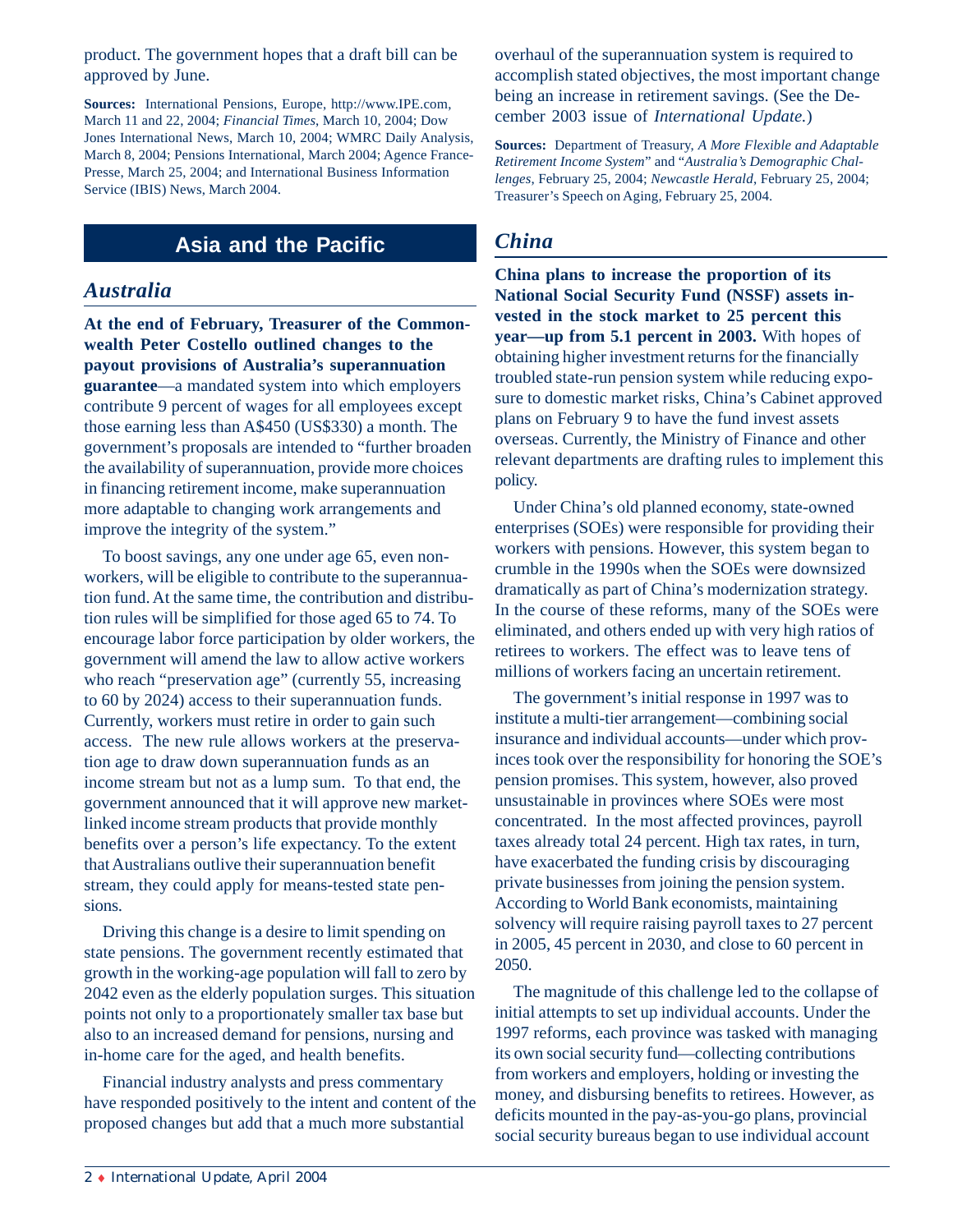product. The government hopes that a draft bill can be approved by June.

**Sources:** International Pensions, Europe, http://www.IPE.com, March 11 and 22, 2004; *Financial Times*, March 10, 2004; Dow Jones International News, March 10, 2004; WMRC Daily Analysis, March 8, 2004; Pensions International, March 2004; Agence France-Presse, March 25, 2004; and International Business Information Service (IBIS) News, March 2004.

# **Asia and the Pacific**

#### *Australia*

**At the end of February, Treasurer of the Commonwealth Peter Costello outlined changes to the payout provisions of Australia's superannuation guarantee**—a mandated system into which employers contribute 9 percent of wages for all employees except those earning less than A\$450 (US\$330) a month. The government's proposals are intended to "further broaden the availability of superannuation, provide more choices in financing retirement income, make superannuation more adaptable to changing work arrangements and improve the integrity of the system."

To boost savings, any one under age 65, even nonworkers, will be eligible to contribute to the superannuation fund. At the same time, the contribution and distribution rules will be simplified for those aged 65 to 74. To encourage labor force participation by older workers, the government will amend the law to allow active workers who reach "preservation age" (currently 55, increasing to 60 by 2024) access to their superannuation funds. Currently, workers must retire in order to gain such access. The new rule allows workers at the preservation age to draw down superannuation funds as an income stream but not as a lump sum. To that end, the government announced that it will approve new marketlinked income stream products that provide monthly benefits over a person's life expectancy. To the extent that Australians outlive their superannuation benefit stream, they could apply for means-tested state pensions.

Driving this change is a desire to limit spending on state pensions. The government recently estimated that growth in the working-age population will fall to zero by 2042 even as the elderly population surges. This situation points not only to a proportionately smaller tax base but also to an increased demand for pensions, nursing and in-home care for the aged, and health benefits.

Financial industry analysts and press commentary have responded positively to the intent and content of the proposed changes but add that a much more substantial

overhaul of the superannuation system is required to accomplish stated objectives, the most important change being an increase in retirement savings. (See the December 2003 issue of *International Update.*)

**Sources:** Department of Treasury, *A More Flexible and Adaptable Retirement Income System*" and "*Australia's Demographic Challenges*, February 25, 2004; *Newcastle Herald*, February 25, 2004; Treasurer's Speech on Aging, February 25, 2004.

## *China*

**China plans to increase the proportion of its National Social Security Fund (NSSF) assets invested in the stock market to 25 percent this year—up from 5.1 percent in 2003.** With hopes of obtaining higher investment returns for the financially troubled state-run pension system while reducing exposure to domestic market risks, China's Cabinet approved plans on February 9 to have the fund invest assets overseas. Currently, the Ministry of Finance and other relevant departments are drafting rules to implement this policy.

Under China's old planned economy, state-owned enterprises (SOEs) were responsible for providing their workers with pensions. However, this system began to crumble in the 1990s when the SOEs were downsized dramatically as part of China's modernization strategy. In the course of these reforms, many of the SOEs were eliminated, and others ended up with very high ratios of retirees to workers. The effect was to leave tens of millions of workers facing an uncertain retirement.

The government's initial response in 1997 was to institute a multi-tier arrangement—combining social insurance and individual accounts—under which provinces took over the responsibility for honoring the SOE's pension promises. This system, however, also proved unsustainable in provinces where SOEs were most concentrated. In the most affected provinces, payroll taxes already total 24 percent. High tax rates, in turn, have exacerbated the funding crisis by discouraging private businesses from joining the pension system. According to World Bank economists, maintaining solvency will require raising payroll taxes to 27 percent in 2005, 45 percent in 2030, and close to 60 percent in 2050.

The magnitude of this challenge led to the collapse of initial attempts to set up individual accounts. Under the 1997 reforms, each province was tasked with managing its own social security fund—collecting contributions from workers and employers, holding or investing the money, and disbursing benefits to retirees. However, as deficits mounted in the pay-as-you-go plans, provincial social security bureaus began to use individual account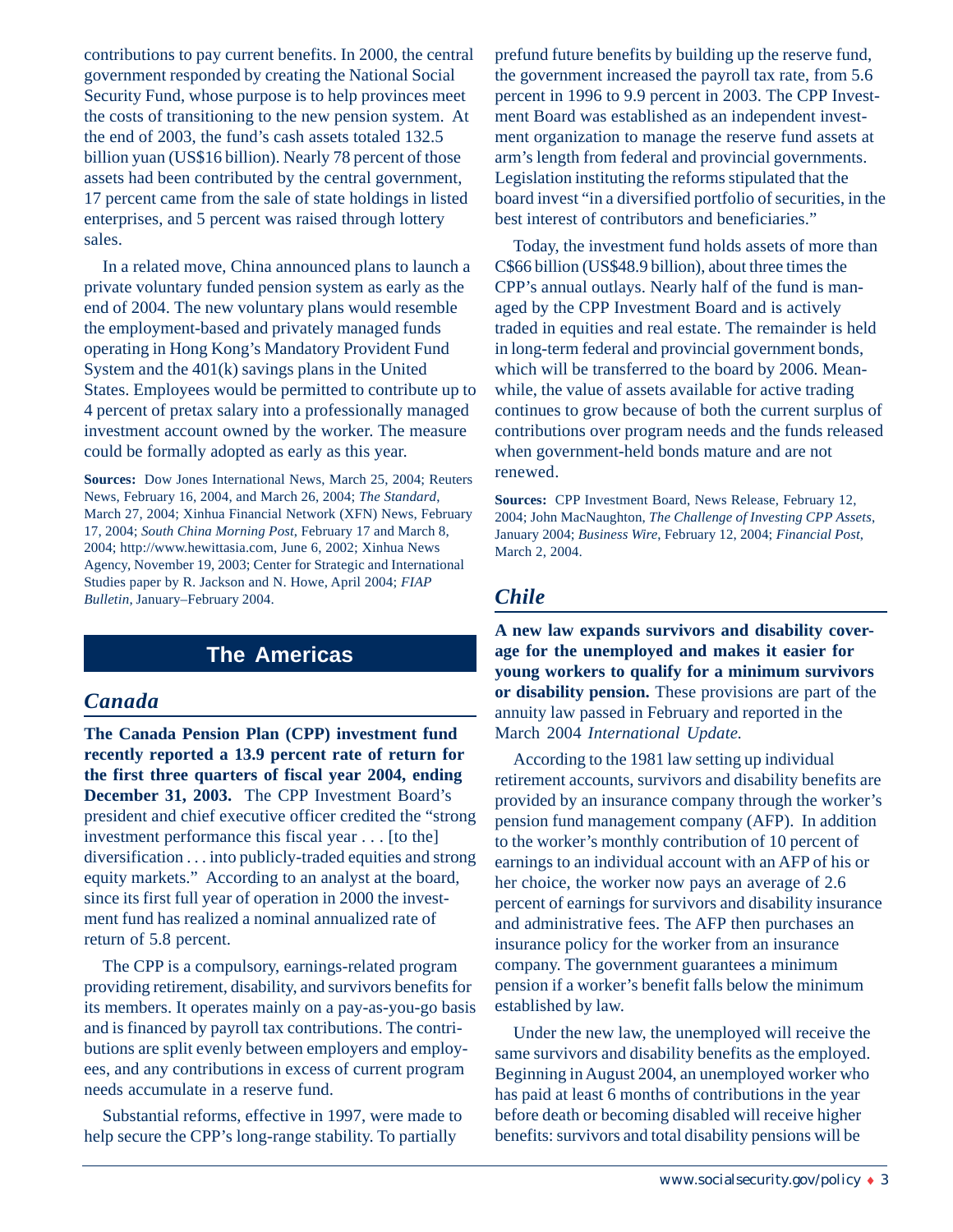contributions to pay current benefits. In 2000, the central government responded by creating the National Social Security Fund, whose purpose is to help provinces meet the costs of transitioning to the new pension system. At the end of 2003, the fund's cash assets totaled 132.5 billion yuan (US\$16 billion). Nearly 78 percent of those assets had been contributed by the central government, 17 percent came from the sale of state holdings in listed enterprises, and 5 percent was raised through lottery sales.

In a related move, China announced plans to launch a private voluntary funded pension system as early as the end of 2004. The new voluntary plans would resemble the employment-based and privately managed funds operating in Hong Kong's Mandatory Provident Fund System and the 401(k) savings plans in the United States. Employees would be permitted to contribute up to 4 percent of pretax salary into a professionally managed investment account owned by the worker. The measure could be formally adopted as early as this year.

**Sources:** Dow Jones International News, March 25, 2004; Reuters News, February 16, 2004, and March 26, 2004; *The Standard*, March 27, 2004; Xinhua Financial Network (XFN) News, February 17, 2004; *South China Morning Post*, February 17 and March 8, 2004; http://www.hewittasia.com, June 6, 2002; Xinhua News Agency, November 19, 2003; Center for Strategic and International Studies paper by R. Jackson and N. Howe, April 2004; *FIAP Bulletin*, January–February 2004.

## **The Americas**

### *Canada*

**The Canada Pension Plan (CPP) investment fund recently reported a 13.9 percent rate of return for the first three quarters of fiscal year 2004, ending December 31, 2003.** The CPP Investment Board's president and chief executive officer credited the "strong investment performance this fiscal year . . . [to the] diversification . . . into publicly-traded equities and strong equity markets." According to an analyst at the board, since its first full year of operation in 2000 the investment fund has realized a nominal annualized rate of return of 5.8 percent.

The CPP is a compulsory, earnings-related program providing retirement, disability, and survivors benefits for its members. It operates mainly on a pay-as-you-go basis and is financed by payroll tax contributions. The contributions are split evenly between employers and employees, and any contributions in excess of current program needs accumulate in a reserve fund.

Substantial reforms, effective in 1997, were made to help secure the CPP's long-range stability. To partially

prefund future benefits by building up the reserve fund, the government increased the payroll tax rate, from 5.6 percent in 1996 to 9.9 percent in 2003. The CPP Investment Board was established as an independent investment organization to manage the reserve fund assets at arm's length from federal and provincial governments. Legislation instituting the reforms stipulated that the board invest "in a diversified portfolio of securities, in the best interest of contributors and beneficiaries."

Today, the investment fund holds assets of more than C\$66 billion (US\$48.9 billion), about three times the CPP's annual outlays. Nearly half of the fund is managed by the CPP Investment Board and is actively traded in equities and real estate. The remainder is held in long-term federal and provincial government bonds, which will be transferred to the board by 2006. Meanwhile, the value of assets available for active trading continues to grow because of both the current surplus of contributions over program needs and the funds released when government-held bonds mature and are not renewed.

**Sources:** CPP Investment Board, News Release, February 12, 2004; John MacNaughton, *The Challenge of Investing CPP Assets*, January 2004; *Business Wire*, February 12, 2004; *Financial Post*, March 2, 2004.

### *Chile*

**A new law expands survivors and disability coverage for the unemployed and makes it easier for young workers to qualify for a minimum survivors or disability pension.** These provisions are part of the annuity law passed in February and reported in the March 2004 *International Update.*

According to the 1981 law setting up individual retirement accounts, survivors and disability benefits are provided by an insurance company through the worker's pension fund management company (AFP). In addition to the worker's monthly contribution of 10 percent of earnings to an individual account with an AFP of his or her choice, the worker now pays an average of 2.6 percent of earnings for survivors and disability insurance and administrative fees. The AFP then purchases an insurance policy for the worker from an insurance company. The government guarantees a minimum pension if a worker's benefit falls below the minimum established by law.

Under the new law, the unemployed will receive the same survivors and disability benefits as the employed. Beginning in August 2004, an unemployed worker who has paid at least 6 months of contributions in the year before death or becoming disabled will receive higher benefits: survivors and total disability pensions will be